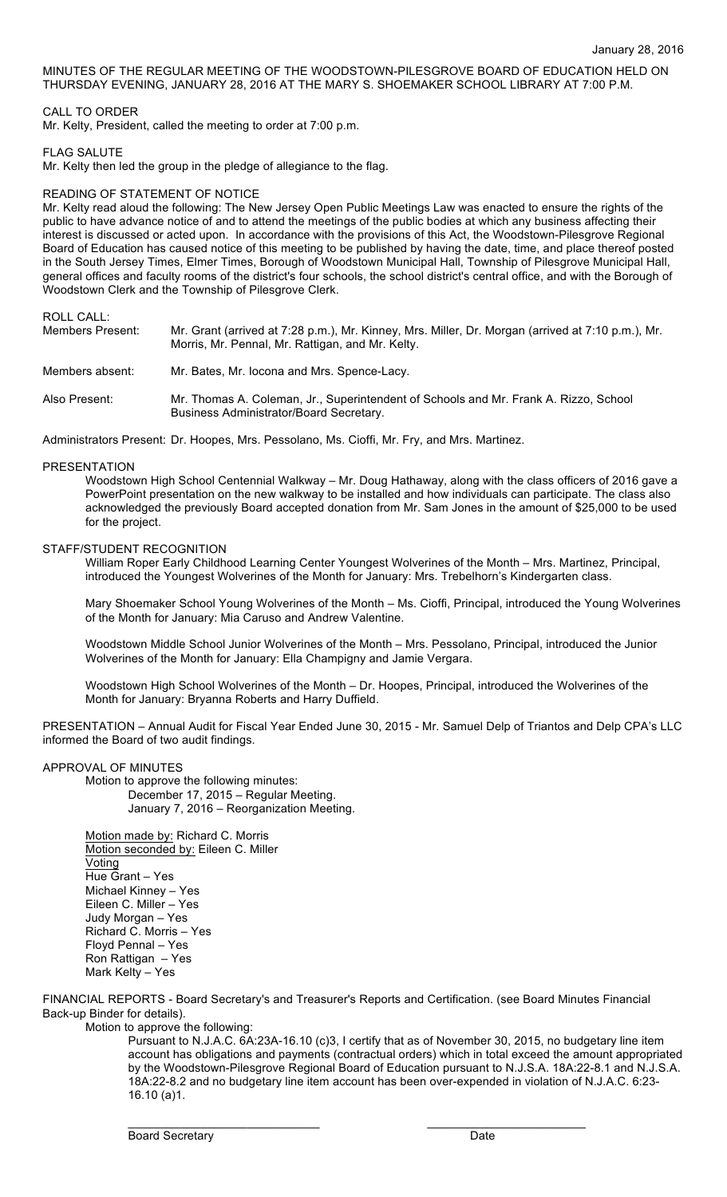MINUTES OF THE REGULAR MEETING OF THE WOODSTOWN-PILESGROVE BOARD OF EDUCATION HELD ON THURSDAY EVENING, JANUARY 28, 2016 AT THE MARY S. SHOEMAKER SCHOOL LIBRARY AT 7:00 P.M.

## CALL TO ORDER

Mr. Kelty, President, called the meeting to order at 7:00 p.m.

### FLAG SALUTE

Mr. Kelty then led the group in the pledge of allegiance to the flag.

### READING OF STATEMENT OF NOTICE

Mr. Kelty read aloud the following: The New Jersey Open Public Meetings Law was enacted to ensure the rights of the public to have advance notice of and to attend the meetings of the public bodies at which any business affecting their interest is discussed or acted upon. In accordance with the provisions of this Act, the Woodstown-Pilesgrove Regional Board of Education has caused notice of this meeting to be published by having the date, time, and place thereof posted in the South Jersey Times, Elmer Times, Borough of Woodstown Municipal Hall, Township of Pilesgrove Municipal Hall, general offices and faculty rooms of the district's four schools, the school district's central office, and with the Borough of Woodstown Clerk and the Township of Pilesgrove Clerk.

ROLL CALL:

| Members Present: | Mr. Grant (arrived at 7:28 p.m.), Mr. Kinney, Mrs. Miller, Dr. Morgan (arrived at 7:10 p.m.), Mr.<br>Morris, Mr. Pennal, Mr. Rattigan, and Mr. Kelty. |
|------------------|-------------------------------------------------------------------------------------------------------------------------------------------------------|
| Members absent:  | Mr. Bates, Mr. Jocona and Mrs. Spence-Lacy.                                                                                                           |
| Also Present:    | Mr. Thomas A. Coleman, Jr., Superintendent of Schools and Mr. Frank A. Rizzo, School<br>Business Administrator/Board Secretary.                       |

Administrators Present: Dr. Hoopes, Mrs. Pessolano, Ms. Cioffi, Mr. Fry, and Mrs. Martinez.

#### PRESENTATION

Woodstown High School Centennial Walkway – Mr. Doug Hathaway, along with the class officers of 2016 gave a PowerPoint presentation on the new walkway to be installed and how individuals can participate. The class also acknowledged the previously Board accepted donation from Mr. Sam Jones in the amount of \$25,000 to be used for the project.

# STAFF/STUDENT RECOGNITION

William Roper Early Childhood Learning Center Youngest Wolverines of the Month – Mrs. Martinez, Principal, introduced the Youngest Wolverines of the Month for January: Mrs. Trebelhorn's Kindergarten class.

Mary Shoemaker School Young Wolverines of the Month – Ms. Cioffi, Principal, introduced the Young Wolverines of the Month for January: Mia Caruso and Andrew Valentine.

Woodstown Middle School Junior Wolverines of the Month – Mrs. Pessolano, Principal, introduced the Junior Wolverines of the Month for January: Ella Champigny and Jamie Vergara.

Woodstown High School Wolverines of the Month – Dr. Hoopes, Principal, introduced the Wolverines of the Month for January: Bryanna Roberts and Harry Duffield.

PRESENTATION – Annual Audit for Fiscal Year Ended June 30, 2015 - Mr. Samuel Delp of Triantos and Delp CPA's LLC informed the Board of two audit findings.

# APPROVAL OF MINUTES

Motion to approve the following minutes: December 17, 2015 – Regular Meeting. January 7, 2016 – Reorganization Meeting.

Motion made by: Richard C. Morris Motion seconded by: Eileen C. Miller Voting Hue Grant – Yes Michael Kinney – Yes Eileen C. Miller – Yes Judy Morgan – Yes Richard C. Morris – Yes Floyd Pennal – Yes Ron Rattigan – Yes Mark Kelty – Yes

FINANCIAL REPORTS - Board Secretary's and Treasurer's Reports and Certification. (see Board Minutes Financial Back-up Binder for details). Motion to approve the following:

 $\_$  , and the set of the set of the set of the set of the set of the set of the set of the set of the set of the set of the set of the set of the set of the set of the set of the set of the set of the set of the set of th

Pursuant to N.J.A.C. 6A:23A-16.10 (c)3, I certify that as of November 30, 2015, no budgetary line item account has obligations and payments (contractual orders) which in total exceed the amount appropriated by the Woodstown-Pilesgrove Regional Board of Education pursuant to N.J.S.A. 18A:22-8.1 and N.J.S.A. 18A:22-8.2 and no budgetary line item account has been over-expended in violation of N.J.A.C. 6:23- 16.10 (a)1.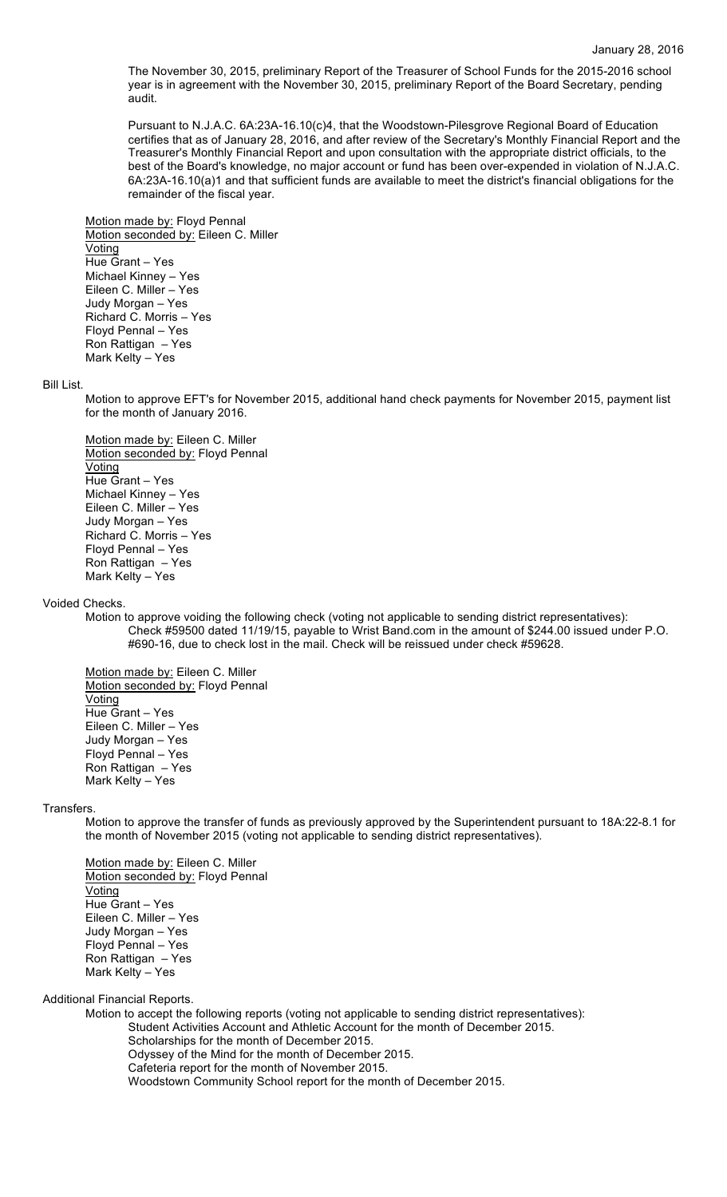The November 30, 2015, preliminary Report of the Treasurer of School Funds for the 2015-2016 school year is in agreement with the November 30, 2015, preliminary Report of the Board Secretary, pending audit.

Pursuant to N.J.A.C. 6A:23A-16.10(c)4, that the Woodstown-Pilesgrove Regional Board of Education certifies that as of January 28, 2016, and after review of the Secretary's Monthly Financial Report and the Treasurer's Monthly Financial Report and upon consultation with the appropriate district officials, to the best of the Board's knowledge, no major account or fund has been over-expended in violation of N.J.A.C. 6A:23A-16.10(a)1 and that sufficient funds are available to meet the district's financial obligations for the remainder of the fiscal year.

Motion made by: Floyd Pennal Motion seconded by: Eileen C. Miller Voting Hue Grant – Yes Michael Kinney – Yes Eileen C. Miller – Yes Judy Morgan – Yes Richard C. Morris – Yes Floyd Pennal – Yes Ron Rattigan – Yes Mark Kelty – Yes

Bill List.

Motion to approve EFT's for November 2015, additional hand check payments for November 2015, payment list for the month of January 2016.

Motion made by: Eileen C. Miller Motion seconded by: Floyd Pennal **Voting** Hue Grant – Yes Michael Kinney – Yes Eileen C. Miller – Yes Judy Morgan – Yes Richard C. Morris – Yes Floyd Pennal – Yes Ron Rattigan – Yes Mark Kelty – Yes

#### Voided Checks.

Motion to approve voiding the following check (voting not applicable to sending district representatives): Check #59500 dated 11/19/15, payable to Wrist Band.com in the amount of \$244.00 issued under P.O. #690-16, due to check lost in the mail. Check will be reissued under check #59628.

Motion made by: Eileen C. Miller Motion seconded by: Floyd Pennal Voting Hue Grant – Yes Eileen C. Miller – Yes Judy Morgan – Yes Floyd Pennal – Yes Ron Rattigan – Yes Mark Kelty – Yes

#### **Transfers**

Motion to approve the transfer of funds as previously approved by the Superintendent pursuant to 18A:22-8.1 for the month of November 2015 (voting not applicable to sending district representatives).

Motion made by: Eileen C. Miller Motion seconded by: Floyd Pennal Voting Hue Grant – Yes Eileen C. Miller – Yes Judy Morgan – Yes Floyd Pennal – Yes Ron Rattigan – Yes Mark Kelty – Yes

Additional Financial Reports.

Motion to accept the following reports (voting not applicable to sending district representatives):

- Student Activities Account and Athletic Account for the month of December 2015. Scholarships for the month of December 2015.
	- Odyssey of the Mind for the month of December 2015.
	- Cafeteria report for the month of November 2015.

Woodstown Community School report for the month of December 2015.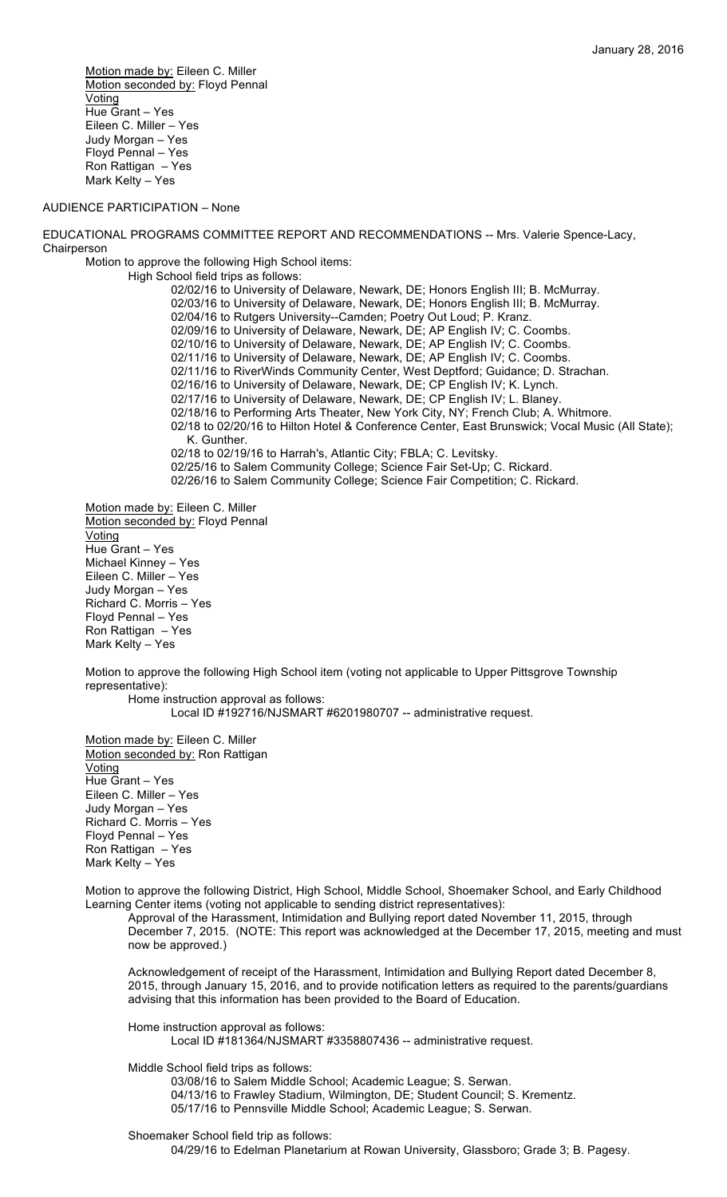Motion made by: Eileen C. Miller Motion seconded by: Floyd Pennal Voting Hue Grant – Yes Eileen C. Miller – Yes Judy Morgan – Yes Floyd Pennal – Yes Ron Rattigan – Yes Mark Kelty – Yes

#### AUDIENCE PARTICIPATION – None

EDUCATIONAL PROGRAMS COMMITTEE REPORT AND RECOMMENDATIONS -- Mrs. Valerie Spence-Lacy, **Chairperson** 

Motion to approve the following High School items:

High School field trips as follows:

02/02/16 to University of Delaware, Newark, DE; Honors English III; B. McMurray. 02/03/16 to University of Delaware, Newark, DE; Honors English III; B. McMurray. 02/04/16 to Rutgers University--Camden; Poetry Out Loud; P. Kranz. 02/09/16 to University of Delaware, Newark, DE; AP English IV; C. Coombs. 02/10/16 to University of Delaware, Newark, DE; AP English IV; C. Coombs. 02/11/16 to University of Delaware, Newark, DE; AP English IV; C. Coombs. 02/11/16 to RiverWinds Community Center, West Deptford; Guidance; D. Strachan. 02/16/16 to University of Delaware, Newark, DE; CP English IV; K. Lynch. 02/17/16 to University of Delaware, Newark, DE; CP English IV; L. Blaney. 02/18/16 to Performing Arts Theater, New York City, NY; French Club; A. Whitmore. 02/18 to 02/20/16 to Hilton Hotel & Conference Center, East Brunswick; Vocal Music (All State); K. Gunther. 02/18 to 02/19/16 to Harrah's, Atlantic City; FBLA; C. Levitsky. 02/25/16 to Salem Community College; Science Fair Set-Up; C. Rickard. 02/26/16 to Salem Community College; Science Fair Competition; C. Rickard.

Motion made by: Eileen C. Miller Motion seconded by: Floyd Pennal Voting Hue Grant – Yes Michael Kinney – Yes Eileen C. Miller – Yes Judy Morgan – Yes Richard C. Morris – Yes Floyd Pennal – Yes Ron Rattigan – Yes Mark Kelty – Yes

Motion to approve the following High School item (voting not applicable to Upper Pittsgrove Township representative): Home instruction approval as follows:

Local ID #192716/NJSMART #6201980707 -- administrative request.

Motion made by: Eileen C. Miller Motion seconded by: Ron Rattigan **Voting** Hue Grant – Yes Eileen C. Miller – Yes Judy Morgan – Yes Richard C. Morris – Yes Floyd Pennal – Yes Ron Rattigan – Yes Mark Kelty – Yes

Motion to approve the following District, High School, Middle School, Shoemaker School, and Early Childhood Learning Center items (voting not applicable to sending district representatives):

Approval of the Harassment, Intimidation and Bullying report dated November 11, 2015, through December 7, 2015. (NOTE: This report was acknowledged at the December 17, 2015, meeting and must now be approved.)

Acknowledgement of receipt of the Harassment, Intimidation and Bullying Report dated December 8, 2015, through January 15, 2016, and to provide notification letters as required to the parents/guardians advising that this information has been provided to the Board of Education.

Home instruction approval as follows: Local ID #181364/NJSMART #3358807436 -- administrative request.

Middle School field trips as follows:

03/08/16 to Salem Middle School; Academic League; S. Serwan. 04/13/16 to Frawley Stadium, Wilmington, DE; Student Council; S. Krementz. 05/17/16 to Pennsville Middle School; Academic League; S. Serwan.

Shoemaker School field trip as follows:

04/29/16 to Edelman Planetarium at Rowan University, Glassboro; Grade 3; B. Pagesy.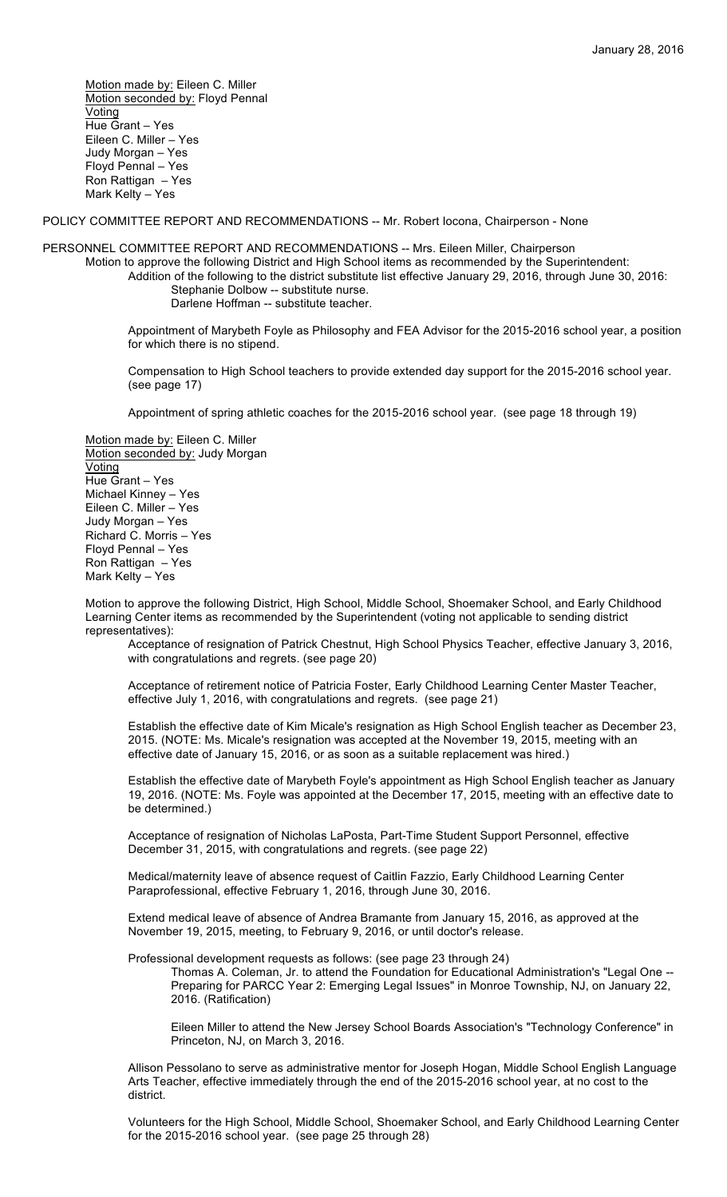Motion made by: Eileen C. Miller Motion seconded by: Floyd Pennal Voting Hue Grant – Yes Eileen C. Miller – Yes Judy Morgan – Yes Floyd Pennal – Yes Ron Rattigan – Yes Mark Kelty – Yes

POLICY COMMITTEE REPORT AND RECOMMENDATIONS -- Mr. Robert Iocona, Chairperson - None

PERSONNEL COMMITTEE REPORT AND RECOMMENDATIONS -- Mrs. Eileen Miller, Chairperson

Motion to approve the following District and High School items as recommended by the Superintendent: Addition of the following to the district substitute list effective January 29, 2016, through June 30, 2016: Stephanie Dolbow -- substitute nurse. Darlene Hoffman -- substitute teacher.

Appointment of Marybeth Foyle as Philosophy and FEA Advisor for the 2015-2016 school year, a position for which there is no stipend.

Compensation to High School teachers to provide extended day support for the 2015-2016 school year. (see page 17)

Appointment of spring athletic coaches for the 2015-2016 school year. (see page 18 through 19)

Motion made by: Eileen C. Miller Motion seconded by: Judy Morgan Voting Hue Grant – Yes Michael Kinney – Yes Eileen C. Miller – Yes Judy Morgan – Yes Richard C. Morris – Yes Floyd Pennal – Yes Ron Rattigan – Yes Mark Kelty – Yes

Motion to approve the following District, High School, Middle School, Shoemaker School, and Early Childhood Learning Center items as recommended by the Superintendent (voting not applicable to sending district representatives):

Acceptance of resignation of Patrick Chestnut, High School Physics Teacher, effective January 3, 2016, with congratulations and regrets. (see page 20)

Acceptance of retirement notice of Patricia Foster, Early Childhood Learning Center Master Teacher, effective July 1, 2016, with congratulations and regrets. (see page 21)

Establish the effective date of Kim Micale's resignation as High School English teacher as December 23, 2015. (NOTE: Ms. Micale's resignation was accepted at the November 19, 2015, meeting with an effective date of January 15, 2016, or as soon as a suitable replacement was hired.)

Establish the effective date of Marybeth Foyle's appointment as High School English teacher as January 19, 2016. (NOTE: Ms. Foyle was appointed at the December 17, 2015, meeting with an effective date to be determined.)

Acceptance of resignation of Nicholas LaPosta, Part-Time Student Support Personnel, effective December 31, 2015, with congratulations and regrets. (see page 22)

Medical/maternity leave of absence request of Caitlin Fazzio, Early Childhood Learning Center Paraprofessional, effective February 1, 2016, through June 30, 2016.

Extend medical leave of absence of Andrea Bramante from January 15, 2016, as approved at the November 19, 2015, meeting, to February 9, 2016, or until doctor's release.

Professional development requests as follows: (see page 23 through 24)

Thomas A. Coleman, Jr. to attend the Foundation for Educational Administration's "Legal One -- Preparing for PARCC Year 2: Emerging Legal Issues" in Monroe Township, NJ, on January 22, 2016. (Ratification)

Eileen Miller to attend the New Jersey School Boards Association's "Technology Conference" in Princeton, NJ, on March 3, 2016.

Allison Pessolano to serve as administrative mentor for Joseph Hogan, Middle School English Language Arts Teacher, effective immediately through the end of the 2015-2016 school year, at no cost to the district.

Volunteers for the High School, Middle School, Shoemaker School, and Early Childhood Learning Center for the 2015-2016 school year. (see page 25 through 28)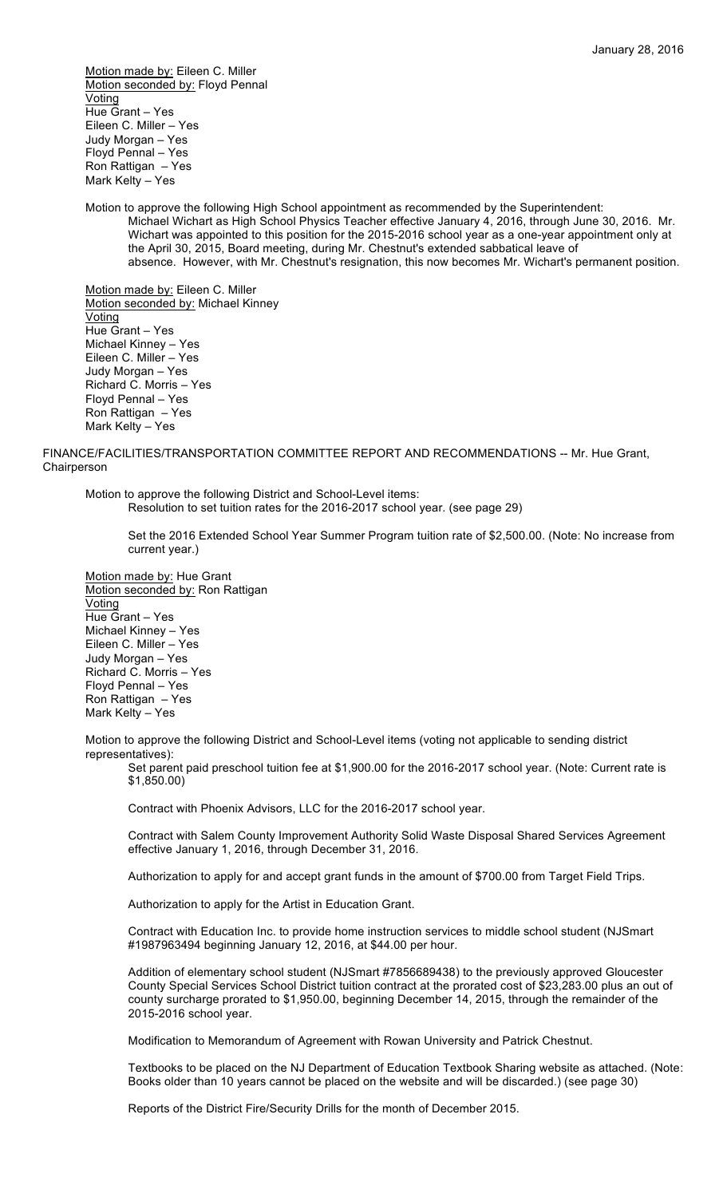Motion made by: Eileen C. Miller Motion seconded by: Floyd Pennal Voting Hue Grant – Yes Eileen C. Miller – Yes Judy Morgan – Yes Floyd Pennal – Yes Ron Rattigan – Yes Mark Kelty – Yes

Motion to approve the following High School appointment as recommended by the Superintendent: Michael Wichart as High School Physics Teacher effective January 4, 2016, through June 30, 2016. Mr. Wichart was appointed to this position for the 2015-2016 school year as a one-year appointment only at the April 30, 2015, Board meeting, during Mr. Chestnut's extended sabbatical leave of absence. However, with Mr. Chestnut's resignation, this now becomes Mr. Wichart's permanent position.

Motion made by: Eileen C. Miller Motion seconded by: Michael Kinney Voting Hue Grant – Yes Michael Kinney – Yes Eileen C. Miller – Yes Judy Morgan – Yes Richard C. Morris – Yes Floyd Pennal – Yes Ron Rattigan – Yes Mark Kelty – Yes

FINANCE/FACILITIES/TRANSPORTATION COMMITTEE REPORT AND RECOMMENDATIONS -- Mr. Hue Grant, **Chairperson** 

Motion to approve the following District and School-Level items: Resolution to set tuition rates for the 2016-2017 school year. (see page 29)

Set the 2016 Extended School Year Summer Program tuition rate of \$2,500.00. (Note: No increase from current year.)

Motion made by: Hue Grant Motion seconded by: Ron Rattigan Voting Hue Grant – Yes Michael Kinney – Yes Eileen C. Miller – Yes Judy Morgan – Yes Richard C. Morris – Yes Floyd Pennal – Yes Ron Rattigan – Yes Mark Kelty – Yes

Motion to approve the following District and School-Level items (voting not applicable to sending district representatives):

Set parent paid preschool tuition fee at \$1,900.00 for the 2016-2017 school year. (Note: Current rate is \$1,850.00)

Contract with Phoenix Advisors, LLC for the 2016-2017 school year.

Contract with Salem County Improvement Authority Solid Waste Disposal Shared Services Agreement effective January 1, 2016, through December 31, 2016.

Authorization to apply for and accept grant funds in the amount of \$700.00 from Target Field Trips.

Authorization to apply for the Artist in Education Grant.

Contract with Education Inc. to provide home instruction services to middle school student (NJSmart #1987963494 beginning January 12, 2016, at \$44.00 per hour.

Addition of elementary school student (NJSmart #7856689438) to the previously approved Gloucester County Special Services School District tuition contract at the prorated cost of \$23,283.00 plus an out of county surcharge prorated to \$1,950.00, beginning December 14, 2015, through the remainder of the 2015-2016 school year.

Modification to Memorandum of Agreement with Rowan University and Patrick Chestnut.

Textbooks to be placed on the NJ Department of Education Textbook Sharing website as attached. (Note: Books older than 10 years cannot be placed on the website and will be discarded.) (see page 30)

Reports of the District Fire/Security Drills for the month of December 2015.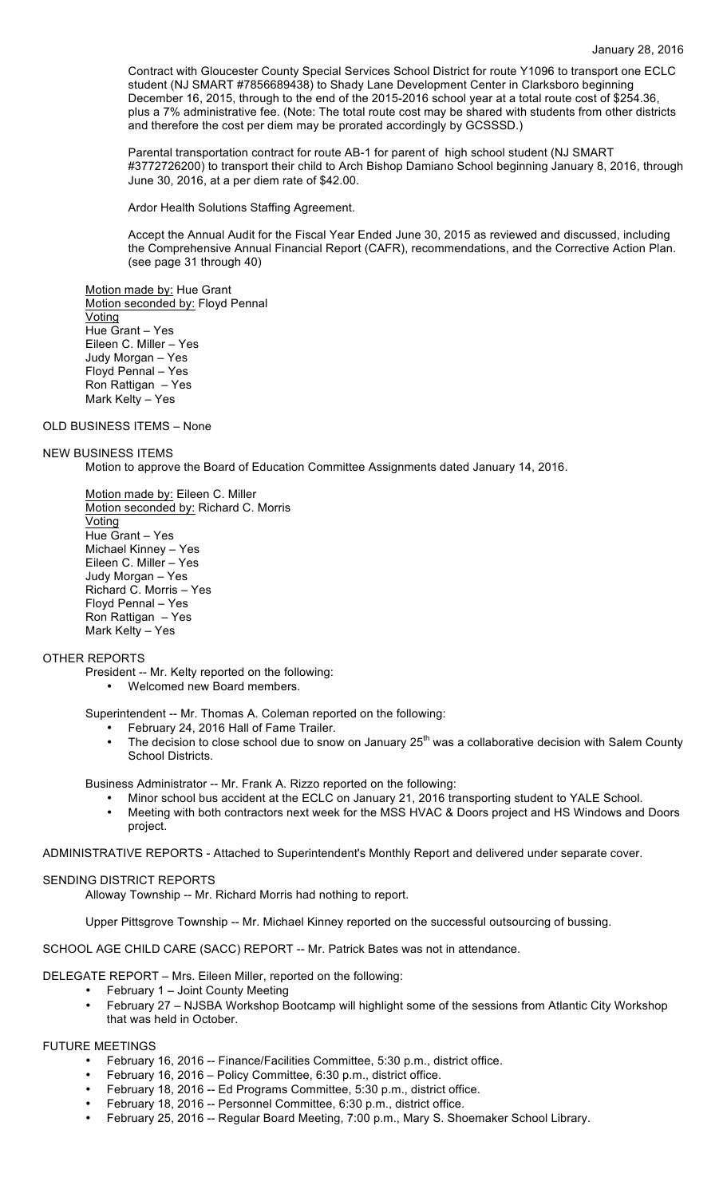Contract with Gloucester County Special Services School District for route Y1096 to transport one ECLC student (NJ SMART #7856689438) to Shady Lane Development Center in Clarksboro beginning December 16, 2015, through to the end of the 2015-2016 school year at a total route cost of \$254.36, plus a 7% administrative fee. (Note: The total route cost may be shared with students from other districts and therefore the cost per diem may be prorated accordingly by GCSSSD.)

Parental transportation contract for route AB-1 for parent of high school student (NJ SMART #3772726200) to transport their child to Arch Bishop Damiano School beginning January 8, 2016, through June 30, 2016, at a per diem rate of \$42.00.

Ardor Health Solutions Staffing Agreement.

Accept the Annual Audit for the Fiscal Year Ended June 30, 2015 as reviewed and discussed, including the Comprehensive Annual Financial Report (CAFR), recommendations, and the Corrective Action Plan. (see page 31 through 40)

Motion made by: Hue Grant Motion seconded by: Floyd Pennal Voting Hue Grant – Yes Eileen C. Miller – Yes Judy Morgan – Yes Floyd Pennal – Yes Ron Rattigan – Yes Mark Kelty – Yes

### OLD BUSINESS ITEMS – None

### NEW BUSINESS ITEMS

Motion to approve the Board of Education Committee Assignments dated January 14, 2016.

Motion made by: Eileen C. Miller Motion seconded by: Richard C. Morris Voting Hue Grant – Yes Michael Kinney – Yes Eileen C. Miller – Yes Judy Morgan – Yes Richard C. Morris – Yes Floyd Pennal – Yes Ron Rattigan – Yes Mark Kelty – Yes

# OTHER REPORTS

- President -- Mr. Kelty reported on the following:
	- Welcomed new Board members.

Superintendent -- Mr. Thomas A. Coleman reported on the following:

- February 24, 2016 Hall of Fame Trailer.<br>• The decision to close school due to snow
- The decision to close school due to snow on January  $25<sup>th</sup>$  was a collaborative decision with Salem County School Districts.

Business Administrator -- Mr. Frank A. Rizzo reported on the following:

- Minor school bus accident at the ECLC on January 21, 2016 transporting student to YALE School.
- Meeting with both contractors next week for the MSS HVAC & Doors project and HS Windows and Doors project.

ADMINISTRATIVE REPORTS - Attached to Superintendent's Monthly Report and delivered under separate cover.

#### SENDING DISTRICT REPORTS

Alloway Township -- Mr. Richard Morris had nothing to report.

Upper Pittsgrove Township -- Mr. Michael Kinney reported on the successful outsourcing of bussing.

SCHOOL AGE CHILD CARE (SACC) REPORT -- Mr. Patrick Bates was not in attendance.

DELEGATE REPORT – Mrs. Eileen Miller, reported on the following:

- February 1 Joint County Meeting
	- February 27 NJSBA Workshop Bootcamp will highlight some of the sessions from Atlantic City Workshop that was held in October.

## FUTURE MEETINGS

- February 16, 2016 -- Finance/Facilities Committee, 5:30 p.m., district office.
- February 16, 2016 Policy Committee, 6:30 p.m., district office.
- February 18, 2016 -- Ed Programs Committee, 5:30 p.m., district office.
- February 18, 2016 -- Personnel Committee, 6:30 p.m., district office.
- February 25, 2016 -- Regular Board Meeting, 7:00 p.m., Mary S. Shoemaker School Library.